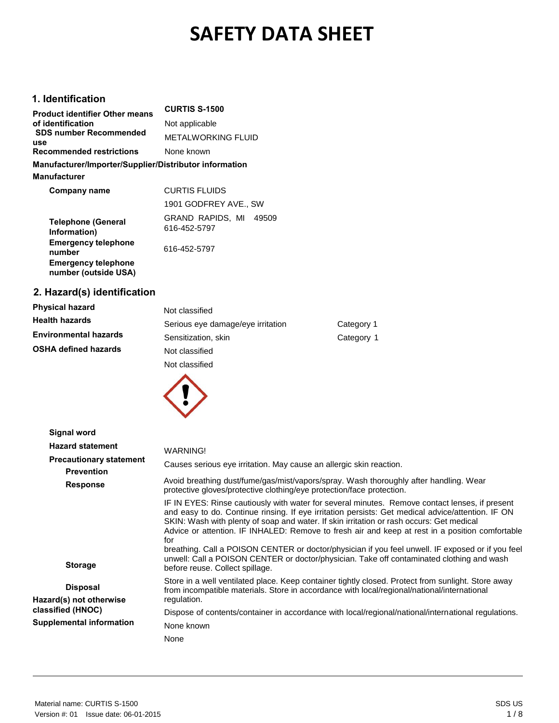# **SAFETY DATA SHEET**

## **1. Identification**

| <b>Product identifier Other means</b>                  | <b>CURTIS S-1500</b>                      |
|--------------------------------------------------------|-------------------------------------------|
| of identification                                      | Not applicable                            |
| <b>SDS number Recommended</b><br>use                   | <b>METALWORKING FLUID</b>                 |
| <b>Recommended restrictions</b>                        | None known                                |
| Manufacturer/Importer/Supplier/Distributor information |                                           |
| <b>Manufacturer</b>                                    |                                           |
| Company name                                           | <b>CURTIS FLUIDS</b>                      |
|                                                        | 1901 GODFREY AVE., SW                     |
| <b>Telephone (General</b><br>Information)              | GRAND RAPIDS, MI<br>49509<br>616-452-5797 |
| <b>Emergency telephone</b><br>number                   | 616-452-5797                              |
| <b>Emergency telephone</b><br>number (outside USA)     |                                           |

## **2. Hazard(s) identification**

| <b>Physical hazard</b>       | Not classified                    |            |
|------------------------------|-----------------------------------|------------|
| <b>Health hazards</b>        | Serious eye damage/eye irritation | Category 1 |
| <b>Environmental hazards</b> | Sensitization, skin               | Category 1 |
| <b>OSHA defined hazards</b>  | Not classified                    |            |
|                              | Not classified                    |            |



| Signal word                                         |                                                                                                                                                                                                                                                                                                                                                                                                                                                                                                                                                                                                                                                |
|-----------------------------------------------------|------------------------------------------------------------------------------------------------------------------------------------------------------------------------------------------------------------------------------------------------------------------------------------------------------------------------------------------------------------------------------------------------------------------------------------------------------------------------------------------------------------------------------------------------------------------------------------------------------------------------------------------------|
| <b>Hazard statement</b>                             | WARNING!                                                                                                                                                                                                                                                                                                                                                                                                                                                                                                                                                                                                                                       |
| <b>Precautionary statement</b><br><b>Prevention</b> | Causes serious eye irritation. May cause an allergic skin reaction.                                                                                                                                                                                                                                                                                                                                                                                                                                                                                                                                                                            |
| <b>Response</b>                                     | Avoid breathing dust/fume/gas/mist/vapors/spray. Wash thoroughly after handling. Wear<br>protective gloves/protective clothing/eye protection/face protection.                                                                                                                                                                                                                                                                                                                                                                                                                                                                                 |
| <b>Storage</b>                                      | IF IN EYES: Rinse cautiously with water for several minutes. Remove contact lenses, if present<br>and easy to do. Continue rinsing. If eye irritation persists: Get medical advice/attention. IF ON<br>SKIN: Wash with plenty of soap and water. If skin irritation or rash occurs: Get medical<br>Advice or attention. IF INHALED: Remove to fresh air and keep at rest in a position comfortable<br>for<br>breathing. Call a POISON CENTER or doctor/physician if you feel unwell. IF exposed or if you feel<br>unwell: Call a POISON CENTER or doctor/physician. Take off contaminated clothing and wash<br>before reuse. Collect spillage. |
| <b>Disposal</b><br>Hazard(s) not otherwise          | Store in a well ventilated place. Keep container tightly closed. Protect from sunlight. Store away<br>from incompatible materials. Store in accordance with local/regional/national/international<br>regulation.                                                                                                                                                                                                                                                                                                                                                                                                                               |
| classified (HNOC)                                   | Dispose of contents/container in accordance with local/regional/national/international regulations.                                                                                                                                                                                                                                                                                                                                                                                                                                                                                                                                            |
| Supplemental information                            | None known                                                                                                                                                                                                                                                                                                                                                                                                                                                                                                                                                                                                                                     |
|                                                     | None                                                                                                                                                                                                                                                                                                                                                                                                                                                                                                                                                                                                                                           |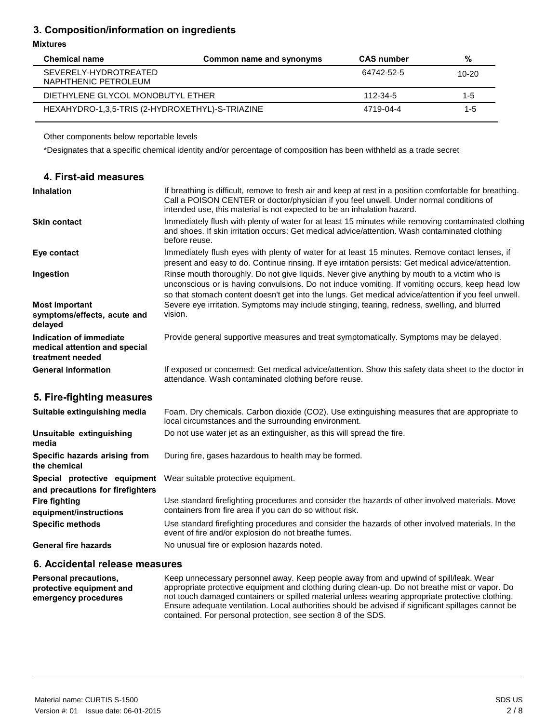## **3. Composition/information on ingredients**

#### **Mixtures**

| <b>Chemical name</b>                            | Common name and synonyms | <b>CAS</b> number | %       |
|-------------------------------------------------|--------------------------|-------------------|---------|
| SEVERELY-HYDROTREATED<br>NAPHTHENIC PETROLEUM   |                          | 64742-52-5        | $10-20$ |
| DIETHYLENE GLYCOL MONOBUTYL ETHER               |                          | 112-34-5          | $1 - 5$ |
| HEXAHYDRO-1,3,5-TRIS (2-HYDROXETHYL)-S-TRIAZINE |                          | 4719-04-4         | $1 - 5$ |

Other components below reportable levels

\*Designates that a specific chemical identity and/or percentage of composition has been withheld as a trade secret

| 4. First-aid measures                                                        |                                                                                                                                                                                                                                                                                                         |
|------------------------------------------------------------------------------|---------------------------------------------------------------------------------------------------------------------------------------------------------------------------------------------------------------------------------------------------------------------------------------------------------|
| <b>Inhalation</b>                                                            | If breathing is difficult, remove to fresh air and keep at rest in a position comfortable for breathing.<br>Call a POISON CENTER or doctor/physician if you feel unwell. Under normal conditions of<br>intended use, this material is not expected to be an inhalation hazard.                          |
| <b>Skin contact</b>                                                          | Immediately flush with plenty of water for at least 15 minutes while removing contaminated clothing<br>and shoes. If skin irritation occurs: Get medical advice/attention. Wash contaminated clothing<br>before reuse.                                                                                  |
| Eye contact                                                                  | Immediately flush eyes with plenty of water for at least 15 minutes. Remove contact lenses, if<br>present and easy to do. Continue rinsing. If eye irritation persists: Get medical advice/attention.                                                                                                   |
| Ingestion                                                                    | Rinse mouth thoroughly. Do not give liquids. Never give anything by mouth to a victim who is<br>unconscious or is having convulsions. Do not induce vomiting. If vomiting occurs, keep head low<br>so that stomach content doesn't get into the lungs. Get medical advice/attention if you feel unwell. |
| <b>Most important</b><br>symptoms/effects, acute and<br>delayed              | Severe eye irritation. Symptoms may include stinging, tearing, redness, swelling, and blurred<br>vision.                                                                                                                                                                                                |
| Indication of immediate<br>medical attention and special<br>treatment needed | Provide general supportive measures and treat symptomatically. Symptoms may be delayed.                                                                                                                                                                                                                 |
| <b>General information</b>                                                   | If exposed or concerned: Get medical advice/attention. Show this safety data sheet to the doctor in<br>attendance. Wash contaminated clothing before reuse.                                                                                                                                             |
| 5. Fire-fighting measures                                                    |                                                                                                                                                                                                                                                                                                         |
| Suitable extinguishing media                                                 | Foam. Dry chemicals. Carbon dioxide (CO2). Use extinguishing measures that are appropriate to<br>local circumstances and the surrounding environment.                                                                                                                                                   |
| Unsuitable extinguishing<br>media                                            | Do not use water jet as an extinguisher, as this will spread the fire.                                                                                                                                                                                                                                  |
| Specific hazards arising from<br>the chemical                                | During fire, gases hazardous to health may be formed.                                                                                                                                                                                                                                                   |
| Special protective equipment<br>and precautions for firefighters             | Wear suitable protective equipment.                                                                                                                                                                                                                                                                     |
| <b>Fire fighting</b><br>equipment/instructions                               | Use standard firefighting procedures and consider the hazards of other involved materials. Move<br>containers from fire area if you can do so without risk.                                                                                                                                             |
| <b>Specific methods</b>                                                      | Use standard firefighting procedures and consider the hazards of other involved materials. In the<br>event of fire and/or explosion do not breathe fumes.                                                                                                                                               |
| <b>General fire hazards</b>                                                  | No unusual fire or explosion hazards noted.                                                                                                                                                                                                                                                             |

## **6. Accidental release measures**

**Personal precautions, protective equipment and emergency procedures** Keep unnecessary personnel away. Keep people away from and upwind of spill/leak. Wear appropriate protective equipment and clothing during clean-up. Do not breathe mist or vapor. Do not touch damaged containers or spilled material unless wearing appropriate protective clothing. Ensure adequate ventilation. Local authorities should be advised if significant spillages cannot be contained. For personal protection, see section 8 of the SDS.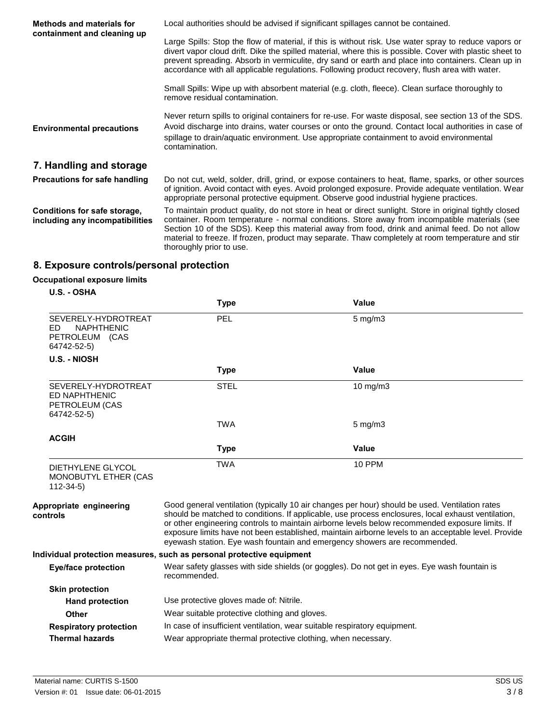| <b>Methods and materials for</b><br>containment and cleaning up | Local authorities should be advised if significant spillages cannot be contained.                                                                                                                                                                                                                                                                                                                                                         |  |
|-----------------------------------------------------------------|-------------------------------------------------------------------------------------------------------------------------------------------------------------------------------------------------------------------------------------------------------------------------------------------------------------------------------------------------------------------------------------------------------------------------------------------|--|
|                                                                 | Large Spills: Stop the flow of material, if this is without risk. Use water spray to reduce vapors or<br>divert vapor cloud drift. Dike the spilled material, where this is possible. Cover with plastic sheet to<br>prevent spreading. Absorb in vermiculite, dry sand or earth and place into containers. Clean up in<br>accordance with all applicable regulations. Following product recovery, flush area with water.                 |  |
|                                                                 | Small Spills: Wipe up with absorbent material (e.g. cloth, fleece). Clean surface thoroughly to<br>remove residual contamination.                                                                                                                                                                                                                                                                                                         |  |
| <b>Environmental precautions</b>                                | Never return spills to original containers for re-use. For waste disposal, see section 13 of the SDS.<br>Avoid discharge into drains, water courses or onto the ground. Contact local authorities in case of<br>spillage to drain/aquatic environment. Use appropriate containment to avoid environmental<br>contamination.                                                                                                               |  |
| 7. Handling and storage                                         |                                                                                                                                                                                                                                                                                                                                                                                                                                           |  |
| <b>Precautions for safe handling</b>                            | Do not cut, weld, solder, drill, grind, or expose containers to heat, flame, sparks, or other sources<br>of ignition. Avoid contact with eyes. Avoid prolonged exposure. Provide adequate ventilation. Wear<br>appropriate personal protective equipment. Observe good industrial hygiene practices.                                                                                                                                      |  |
| Conditions for safe storage,<br>including any incompatibilities | To maintain product quality, do not store in heat or direct sunlight. Store in original tightly closed<br>container. Room temperature - normal conditions. Store away from incompatible materials (see<br>Section 10 of the SDS). Keep this material away from food, drink and animal feed. Do not allow<br>material to freeze. If frozen, product may separate. Thaw completely at room temperature and stir<br>thoroughly prior to use. |  |

# **8. Exposure controls/personal protection**

# **Occupational exposure limits**

|  | U.S. - OSHA |
|--|-------------|
|  |             |

|                                                                                  | <b>Type</b>                                                                                                                                                                                                                                                                                                                                                                                                                                                                                 | Value                                                                                        |
|----------------------------------------------------------------------------------|---------------------------------------------------------------------------------------------------------------------------------------------------------------------------------------------------------------------------------------------------------------------------------------------------------------------------------------------------------------------------------------------------------------------------------------------------------------------------------------------|----------------------------------------------------------------------------------------------|
| SEVERELY-HYDROTREAT<br><b>NAPHTHENIC</b><br>FD.<br>PETROLEUM (CAS<br>64742-52-5) | PEL                                                                                                                                                                                                                                                                                                                                                                                                                                                                                         | $5 \text{ mg/m}$ 3                                                                           |
| U.S. - NIOSH                                                                     |                                                                                                                                                                                                                                                                                                                                                                                                                                                                                             |                                                                                              |
|                                                                                  | <b>Type</b>                                                                                                                                                                                                                                                                                                                                                                                                                                                                                 | Value                                                                                        |
| SEVERELY-HYDROTREAT<br>ED NAPHTHENIC<br>PETROLEUM (CAS<br>64742-52-5)            | <b>STEL</b>                                                                                                                                                                                                                                                                                                                                                                                                                                                                                 | $10 \text{ mg/m}$                                                                            |
|                                                                                  | <b>TWA</b>                                                                                                                                                                                                                                                                                                                                                                                                                                                                                  | $5 \text{ mg/m}$                                                                             |
| <b>ACGIH</b>                                                                     |                                                                                                                                                                                                                                                                                                                                                                                                                                                                                             |                                                                                              |
|                                                                                  | <b>Type</b>                                                                                                                                                                                                                                                                                                                                                                                                                                                                                 | <b>Value</b>                                                                                 |
| DIETHYLENE GLYCOL<br>MONOBUTYL ETHER (CAS<br>$112 - 34 - 5$                      | <b>TWA</b>                                                                                                                                                                                                                                                                                                                                                                                                                                                                                  | <b>10 PPM</b>                                                                                |
| Appropriate engineering<br>controls                                              | Good general ventilation (typically 10 air changes per hour) should be used. Ventilation rates<br>should be matched to conditions. If applicable, use process enclosures, local exhaust ventilation,<br>or other engineering controls to maintain airborne levels below recommended exposure limits. If<br>exposure limits have not been established, maintain airborne levels to an acceptable level. Provide<br>eyewash station. Eye wash fountain and emergency showers are recommended. |                                                                                              |
|                                                                                  | Individual protection measures, such as personal protective equipment                                                                                                                                                                                                                                                                                                                                                                                                                       |                                                                                              |
| <b>Eye/face protection</b>                                                       | recommended.                                                                                                                                                                                                                                                                                                                                                                                                                                                                                | Wear safety glasses with side shields (or goggles). Do not get in eyes. Eye wash fountain is |
| <b>Skin protection</b>                                                           |                                                                                                                                                                                                                                                                                                                                                                                                                                                                                             |                                                                                              |
| <b>Hand protection</b>                                                           | Use protective gloves made of: Nitrile.                                                                                                                                                                                                                                                                                                                                                                                                                                                     |                                                                                              |
| Other                                                                            | Wear suitable protective clothing and gloves.                                                                                                                                                                                                                                                                                                                                                                                                                                               |                                                                                              |
| <b>Respiratory protection</b>                                                    | In case of insufficient ventilation, wear suitable respiratory equipment.                                                                                                                                                                                                                                                                                                                                                                                                                   |                                                                                              |
| <b>Thermal hazards</b>                                                           | Wear appropriate thermal protective clothing, when necessary.                                                                                                                                                                                                                                                                                                                                                                                                                               |                                                                                              |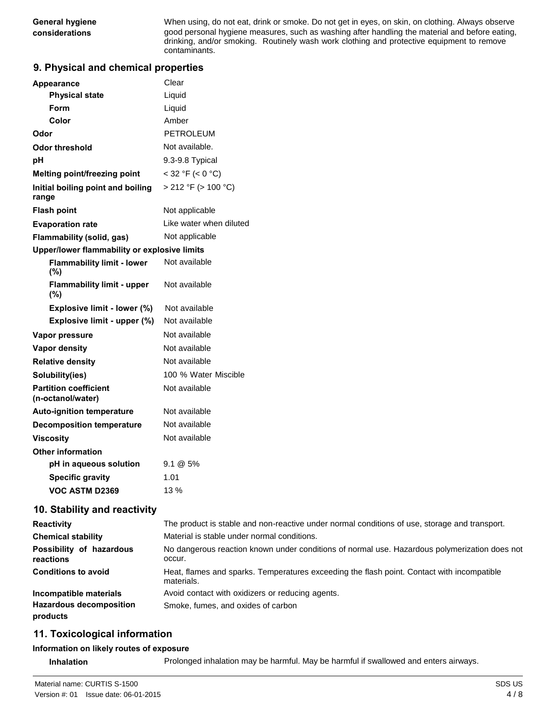**General hygiene** When using, do not eat, drink or smoke. Do not get in eyes, on skin, on clothing. Always observe **considerations** good personal hygiene measures, such as washing after handling the material and before eating, drinking, and/or smoking. Routinely wash work clothing and protective equipment to remove contaminants.

## **9. Physical and chemical properties**

| <b>Appearance</b>                                 | Clear                   |  |
|---------------------------------------------------|-------------------------|--|
| <b>Physical state</b>                             | Liquid                  |  |
| Form                                              | Liquid                  |  |
| Color                                             | Amber                   |  |
| Odor                                              | PETROLEUM               |  |
| Odor threshold                                    | Not available.          |  |
| рH                                                | 9.3-9.8 Typical         |  |
| Melting point/freezing point                      | $<$ 32 °F ( $<$ 0 °C)   |  |
| Initial boiling point and boiling<br>range        | > 212 °F (> 100 °C)     |  |
| <b>Flash point</b>                                | Not applicable          |  |
| <b>Evaporation rate</b>                           | Like water when diluted |  |
| Flammability (solid, gas)                         | Not applicable          |  |
| Upper/lower flammability or explosive limits      |                         |  |
| <b>Flammability limit - lower</b><br>(%)          | Not available           |  |
| <b>Flammability limit - upper</b><br>(%)          | Not available           |  |
| Explosive limit - lower (%)                       | Not available           |  |
| Explosive limit - upper (%)                       | Not available           |  |
| Vapor pressure                                    | Not available           |  |
| Vapor density                                     | Not available           |  |
| <b>Relative density</b>                           | Not available           |  |
| Solubility(ies)                                   | 100 % Water Miscible    |  |
| <b>Partition coefficient</b><br>(n-octanol/water) | Not available           |  |
| <b>Auto-ignition temperature</b>                  | Not available           |  |
| <b>Decomposition temperature</b>                  | Not available           |  |
| <b>Viscosity</b>                                  | Not available           |  |
| <b>Other information</b>                          |                         |  |
| pH in aqueous solution                            | $9.1 \& 5\%$            |  |
| <b>Specific gravity</b>                           | 1.01                    |  |
| VOC ASTM D2369                                    | 13%                     |  |

## **10. Stability and reactivity**

| <b>Reactivity</b>                          | The product is stable and non-reactive under normal conditions of use, storage and transport.            |
|--------------------------------------------|----------------------------------------------------------------------------------------------------------|
| <b>Chemical stability</b>                  | Material is stable under normal conditions.                                                              |
| Possibility of hazardous<br>reactions      | No dangerous reaction known under conditions of normal use. Hazardous polymerization does not<br>occur.  |
| <b>Conditions to avoid</b>                 | Heat, flames and sparks. Temperatures exceeding the flash point. Contact with incompatible<br>materials. |
| Incompatible materials                     | Avoid contact with oxidizers or reducing agents.                                                         |
| <b>Hazardous decomposition</b><br>products | Smoke, fumes, and oxides of carbon                                                                       |

## **11. Toxicological information**

#### **Information on likely routes of exposure**

**Inhalation** Prolonged inhalation may be harmful. May be harmful if swallowed and enters airways.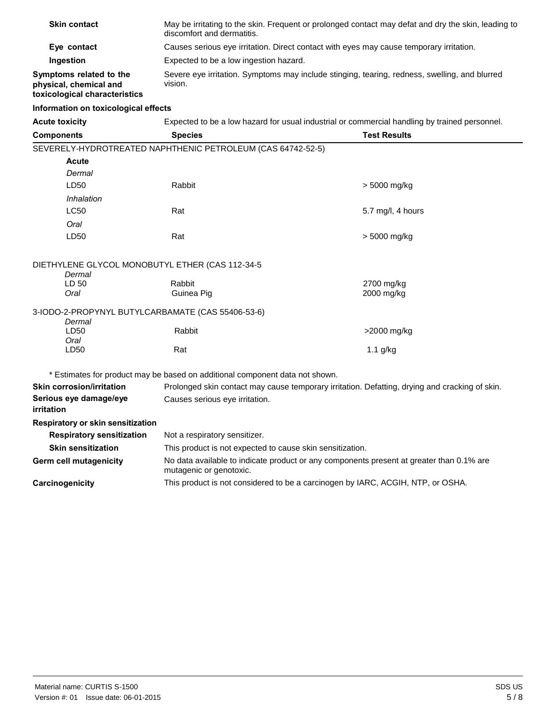| <b>Skin contact</b>                                                                | May be irritating to the skin. Frequent or prolonged contact may defat and dry the skin, leading to<br>discomfort and dermatitis. |                     |
|------------------------------------------------------------------------------------|-----------------------------------------------------------------------------------------------------------------------------------|---------------------|
| Eye contact                                                                        | Causes serious eye irritation. Direct contact with eyes may cause temporary irritation.                                           |                     |
| Ingestion                                                                          | Expected to be a low ingestion hazard.                                                                                            |                     |
| Symptoms related to the<br>physical, chemical and<br>toxicological characteristics | Severe eye irritation. Symptoms may include stinging, tearing, redness, swelling, and blurred<br>vision.                          |                     |
| Information on toxicological effects                                               |                                                                                                                                   |                     |
| <b>Acute toxicity</b>                                                              | Expected to be a low hazard for usual industrial or commercial handling by trained personnel.                                     |                     |
| <b>Components</b>                                                                  | <b>Species</b>                                                                                                                    | <b>Test Results</b> |
|                                                                                    | SEVERELY-HYDROTREATED NAPHTHENIC PETROLEUM (CAS 64742-52-5)                                                                       |                     |
| <b>Acute</b>                                                                       |                                                                                                                                   |                     |
| Dermal                                                                             |                                                                                                                                   |                     |
| LD50                                                                               | Rabbit                                                                                                                            | > 5000 mg/kg        |
| Inhalation                                                                         |                                                                                                                                   |                     |
| <b>LC50</b>                                                                        | Rat                                                                                                                               | 5.7 mg/l, 4 hours   |
| Oral                                                                               |                                                                                                                                   |                     |
| LD50                                                                               | Rat                                                                                                                               | $> 5000$ mg/kg      |
| DIETHYLENE GLYCOL MONOBUTYL ETHER (CAS 112-34-5<br>Dermal                          |                                                                                                                                   |                     |
| LD 50                                                                              | Rabbit                                                                                                                            | 2700 mg/kg          |
| Oral                                                                               | Guinea Pig                                                                                                                        | 2000 mg/kg          |
| 3-IODO-2-PROPYNYL BUTYLCARBAMATE (CAS 55406-53-6)<br>Dermal                        |                                                                                                                                   |                     |
| LD50                                                                               | Rabbit                                                                                                                            | >2000 mg/kg         |
| Oral                                                                               |                                                                                                                                   |                     |
| LD50                                                                               | Rat                                                                                                                               | $1.1$ g/kg          |
|                                                                                    | * Estimates for product may be based on additional component data not shown.                                                      |                     |

| <b>Skin corrosion/irritation</b>     | Prolonged skin contact may cause temporary irritation. Defatting, drying and cracking of skin.                      |
|--------------------------------------|---------------------------------------------------------------------------------------------------------------------|
| Serious eye damage/eye<br>irritation | Causes serious eye irritation.                                                                                      |
| Respiratory or skin sensitization    |                                                                                                                     |
| <b>Respiratory sensitization</b>     | Not a respiratory sensitizer.                                                                                       |
| <b>Skin sensitization</b>            | This product is not expected to cause skin sensitization.                                                           |
| Germ cell mutagenicity               | No data available to indicate product or any components present at greater than 0.1% are<br>mutagenic or genotoxic. |
| Carcinogenicity                      | This product is not considered to be a carcinogen by IARC, ACGIH, NTP, or OSHA.                                     |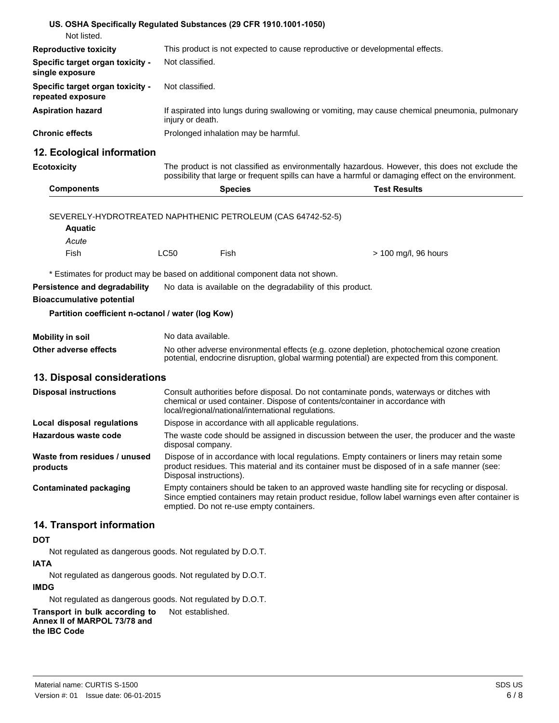| US. OSHA Specifically Regulated Substances (29 CFR 1910.1001-1050)            |                         |                                                            |                                                                                                                                                                                                       |
|-------------------------------------------------------------------------------|-------------------------|------------------------------------------------------------|-------------------------------------------------------------------------------------------------------------------------------------------------------------------------------------------------------|
| Not listed.                                                                   |                         |                                                            |                                                                                                                                                                                                       |
| <b>Reproductive toxicity</b>                                                  |                         |                                                            | This product is not expected to cause reproductive or developmental effects.                                                                                                                          |
| Specific target organ toxicity -<br>single exposure                           | Not classified.         |                                                            |                                                                                                                                                                                                       |
| Specific target organ toxicity -<br>repeated exposure                         | Not classified.         |                                                            |                                                                                                                                                                                                       |
| <b>Aspiration hazard</b>                                                      | injury or death.        |                                                            | If aspirated into lungs during swallowing or vomiting, may cause chemical pneumonia, pulmonary                                                                                                        |
| <b>Chronic effects</b>                                                        |                         | Prolonged inhalation may be harmful.                       |                                                                                                                                                                                                       |
| 12. Ecological information                                                    |                         |                                                            |                                                                                                                                                                                                       |
| <b>Ecotoxicity</b>                                                            |                         |                                                            | The product is not classified as environmentally hazardous. However, this does not exclude the<br>possibility that large or frequent spills can have a harmful or damaging effect on the environment. |
| <b>Components</b>                                                             |                         | <b>Species</b>                                             | <b>Test Results</b>                                                                                                                                                                                   |
|                                                                               |                         |                                                            |                                                                                                                                                                                                       |
| SEVERELY-HYDROTREATED NAPHTHENIC PETROLEUM (CAS 64742-52-5)<br><b>Aquatic</b> |                         |                                                            |                                                                                                                                                                                                       |
| Acute                                                                         |                         |                                                            |                                                                                                                                                                                                       |
| Fish                                                                          | LC50                    | Fish                                                       | > 100 mg/l, 96 hours                                                                                                                                                                                  |
| * Estimates for product may be based on additional component data not shown.  |                         |                                                            |                                                                                                                                                                                                       |
| Persistence and degradability                                                 |                         | No data is available on the degradability of this product. |                                                                                                                                                                                                       |
| <b>Bioaccumulative potential</b>                                              |                         |                                                            |                                                                                                                                                                                                       |
| Partition coefficient n-octanol / water (log Kow)                             |                         |                                                            |                                                                                                                                                                                                       |
|                                                                               |                         |                                                            |                                                                                                                                                                                                       |
| <b>Mobility in soil</b>                                                       | No data available.      |                                                            |                                                                                                                                                                                                       |
| Other adverse effects                                                         |                         |                                                            | No other adverse environmental effects (e.g. ozone depletion, photochemical ozone creation<br>potential, endocrine disruption, global warming potential) are expected from this component.            |
| 13. Disposal considerations                                                   |                         |                                                            |                                                                                                                                                                                                       |
| <b>Disposal instructions</b>                                                  |                         |                                                            | Consult authorities before disposal. Do not contaminate ponds, waterways or ditches with                                                                                                              |
|                                                                               |                         | local/regional/national/international regulations.         | chemical or used container. Dispose of contents/container in accordance with                                                                                                                          |
| Local disposal regulations                                                    |                         | Dispose in accordance with all applicable regulations.     |                                                                                                                                                                                                       |
| Hazardous waste code                                                          | disposal company.       |                                                            | The waste code should be assigned in discussion between the user, the producer and the waste                                                                                                          |
| Waste from residues / unused<br>products                                      | Disposal instructions). |                                                            | Dispose of in accordance with local regulations. Empty containers or liners may retain some<br>product residues. This material and its container must be disposed of in a safe manner (see:           |
| <b>Contaminated packaging</b>                                                 |                         | emptied. Do not re-use empty containers.                   | Empty containers should be taken to an approved waste handling site for recycling or disposal.<br>Since emptied containers may retain product residue, follow label warnings even after container is  |
| 14. Transport information                                                     |                         |                                                            |                                                                                                                                                                                                       |
| <b>DOT</b>                                                                    |                         |                                                            |                                                                                                                                                                                                       |
| Not regulated as dangerous goods. Not regulated by D.O.T.                     |                         |                                                            |                                                                                                                                                                                                       |
| <b>IATA</b>                                                                   |                         |                                                            |                                                                                                                                                                                                       |
| Not regulated as dangerous goods. Not regulated by D.O.T.                     |                         |                                                            |                                                                                                                                                                                                       |

**IMDG** 

Not regulated as dangerous goods. Not regulated by D.O.T.

**Transport in bulk according to** Not established. **Annex II of MARPOL 73/78 and the IBC Code**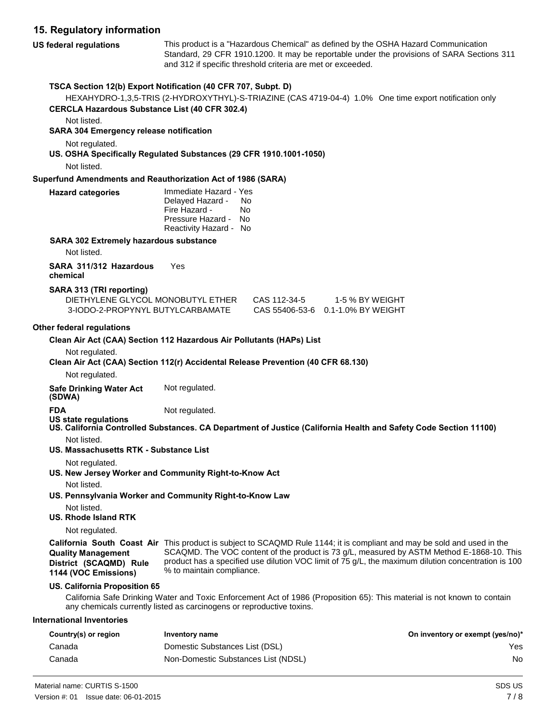## **15. Regulatory information**

**US federal regulations** This product is a "Hazardous Chemical" as defined by the OSHA Hazard Communication Standard, 29 CFR 1910.1200. It may be reportable under the provisions of SARA Sections 311 and 312 if specific threshold criteria are met or exceeded. **TSCA Section 12(b) Export Notification (40 CFR 707, Subpt. D)**  HEXAHYDRO-1,3,5-TRIS (2-HYDROXYTHYL)-S-TRIAZINE (CAS 4719-04-4) 1.0% One time export notification only **CERCLA Hazardous Substance List (40 CFR 302.4)**  Not listed. **SARA 304 Emergency release notification** 

Not regulated.

**US. OSHA Specifically Regulated Substances (29 CFR 1910.1001-1050)** 

Not listed.

**Hazard** 

### **Superfund Amendments and Reauthorization Act of 1986 (SARA)**

| categories | Immediate Hazard - Yes<br>Delayed Hazard -<br>Fire Hazard -<br>Pressure Hazard -<br>Reactivity Hazard - No | No<br>N٥<br>No |
|------------|------------------------------------------------------------------------------------------------------------|----------------|
|            |                                                                                                            |                |

#### **SARA 302 Extremely hazardous substance**

Not listed.

**SARA 311/312 Hazardous** Yes **chemical** 

### **SARA 313 (TRI reporting)**

| DIETHYLENE GLYCOL MONOBUTYL ETHER | CAS 112-34-5 | 1-5 % BY WEIGHT                   |
|-----------------------------------|--------------|-----------------------------------|
| 3-IODO-2-PROPYNYL BUTYLCARBAMATE  |              | CAS 55406-53-6 0.1-1.0% BY WEIGHT |

### **Other federal regulations**

| Clean Air Act (CAA) Section 112 Hazardous Air Pollutants (HAPs) List |  |
|----------------------------------------------------------------------|--|
|----------------------------------------------------------------------|--|

Not regulated.

**Clean Air Act (CAA) Section 112(r) Accidental Release Prevention (40 CFR 68.130)** 

Not regulated.

**Safe Drinking Water Act** Not regulated.

**(SDWA)** 

- **US state regulations**
- **FDA** Not regulated.
	-
- **US. California Controlled Substances. CA Department of Justice (California Health and Safety Code Section 11100)**  Not listed.
- **US. Massachusetts RTK - Substance List** 
	- Not regulated.
- **US. New Jersey Worker and Community Right-to-Know Act** 
	- Not listed.
- **US. Pennsylvania Worker and Community Right-to-Know Law** 
	- Not listed.
- **US. Rhode Island RTK**

Not regulated.

**Quality Management**

**1144 (VOC Emissions)**

**California South Coast Air**  This product is subject to SCAQMD Rule 1144; it is compliant and may be sold and used in the **District (SCAQMD) Rule**  SCAQMD. The VOC content of the product is 73 g/L, measured by ASTM Method E-1868-10. This product has a specified use dilution VOC limit of 75 g/L, the maximum dilution concentration is 100 % to maintain compliance.

#### **US. California Proposition 65**

California Safe Drinking Water and Toxic Enforcement Act of 1986 (Proposition 65): This material is not known to contain any chemicals currently listed as carcinogens or reproductive toxins.

#### **International Inventories**

| Country(s) or region | Inventory name                      | On inventory or exempt (yes/no)* |
|----------------------|-------------------------------------|----------------------------------|
| Canada               | Domestic Substances List (DSL)      | Yes                              |
| Canada               | Non-Domestic Substances List (NDSL) | No                               |